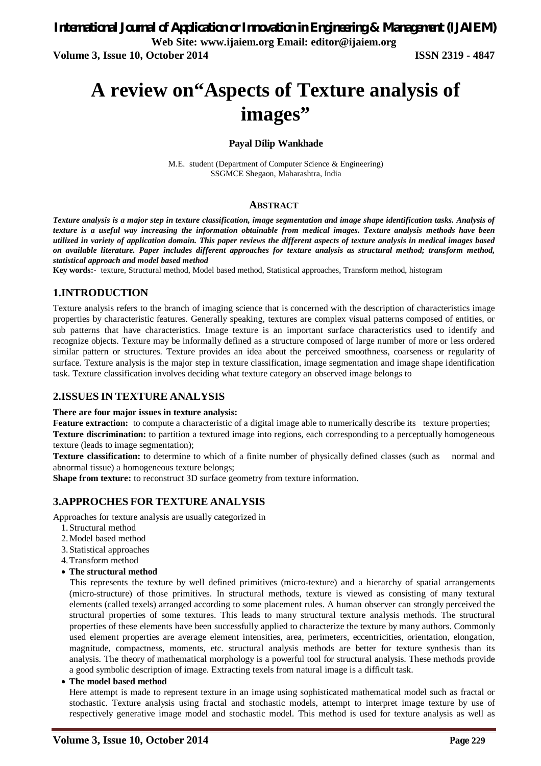# **A review on"Aspects of Texture analysis of images"**

#### **Payal Dilip Wankhade**

M.E. student (Department of Computer Science & Engineering) SSGMCE Shegaon, Maharashtra, India

#### **ABSTRACT**

*Texture analysis is a major step in texture classification, image segmentation and image shape identification tasks. Analysis of texture is a useful way increasing the information obtainable from medical images. Texture analysis methods have been utilized in variety of application domain. This paper reviews the different aspects of texture analysis in medical images based on available literature. Paper includes different approaches for texture analysis as structural method; transform method, statistical approach and model based method*

**Key words:-** texture, Structural method, Model based method, Statistical approaches, Transform method, histogram

### **1.INTRODUCTION**

Texture analysis refers to the branch of imaging science that is concerned with the description of characteristics image properties by characteristic features. Generally speaking, textures are complex visual patterns composed of entities, or sub patterns that have characteristics. Image texture is an important surface characteristics used to identify and recognize objects. Texture may be informally defined as a structure composed of large number of more or less ordered similar pattern or structures. Texture provides an idea about the perceived smoothness, coarseness or regularity of surface. Texture analysis is the major step in texture classification, image segmentation and image shape identification task. Texture classification involves deciding what texture category an observed image belongs to

# **2.ISSUES IN TEXTURE ANALYSIS**

#### **There are four major issues in texture analysis:**

**Feature extraction:** to compute a characteristic of a digital image able to numerically describe its texture properties; **Texture discrimination:** to partition a textured image into regions, each corresponding to a perceptually homogeneous texture (leads to image segmentation);

**Texture classification:** to determine to which of a finite number of physically defined classes (such as normal and abnormal tissue) a homogeneous texture belongs;

**Shape from texture:** to reconstruct 3D surface geometry from texture information.

#### **3.APPROCHES FOR TEXTURE ANALYSIS**

Approaches for texture analysis are usually categorized in

- 1.Structural method
- 2.Model based method
- 3.Statistical approaches
- 4.Transform method
- **The structural method**

 This represents the texture by well defined primitives (micro-texture) and a hierarchy of spatial arrangements (micro-structure) of those primitives. In structural methods, texture is viewed as consisting of many textural elements (called texels) arranged according to some placement rules. A human observer can strongly perceived the structural properties of some textures. This leads to many structural texture analysis methods. The structural properties of these elements have been successfully applied to characterize the texture by many authors. Commonly used element properties are average element intensities, area, perimeters, eccentricities, orientation, elongation, magnitude, compactness, moments, etc. structural analysis methods are better for texture synthesis than its analysis. The theory of mathematical morphology is a powerful tool for structural analysis. These methods provide a good symbolic description of image. Extracting texels from natural image is a difficult task.

**The model based method**

Here attempt is made to represent texture in an image using sophisticated mathematical model such as fractal or stochastic. Texture analysis using fractal and stochastic models, attempt to interpret image texture by use of respectively generative image model and stochastic model. This method is used for texture analysis as well as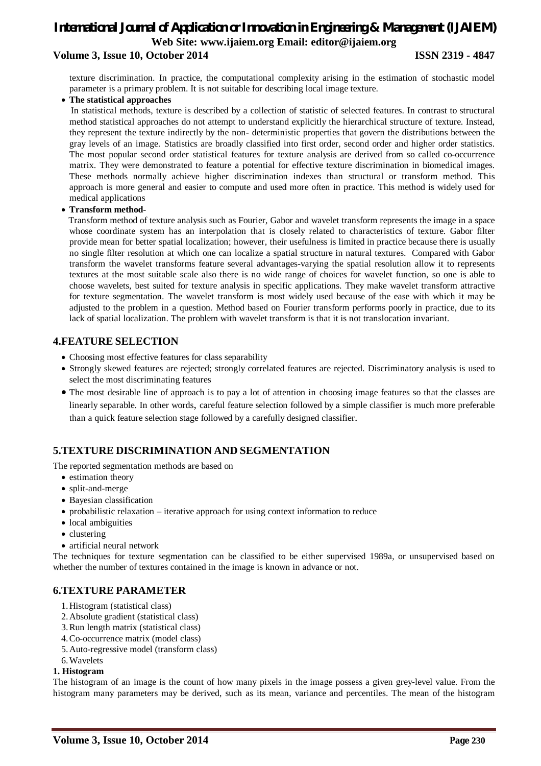# *International Journal of Application or Innovation in Engineering & Management (IJAIEM)* **Web Site: www.ijaiem.org Email: editor@ijaiem.org Volume 3, Issue 10, October 2014 ISSN 2319 - 4847**

texture discrimination. In practice, the computational complexity arising in the estimation of stochastic model parameter is a primary problem. It is not suitable for describing local image texture.

**The statistical approaches**

 In statistical methods, texture is described by a collection of statistic of selected features. In contrast to structural method statistical approaches do not attempt to understand explicitly the hierarchical structure of texture. Instead, they represent the texture indirectly by the non- deterministic properties that govern the distributions between the gray levels of an image. Statistics are broadly classified into first order, second order and higher order statistics. The most popular second order statistical features for texture analysis are derived from so called co-occurrence matrix. They were demonstrated to feature a potential for effective texture discrimination in biomedical images. These methods normally achieve higher discrimination indexes than structural or transform method. This approach is more general and easier to compute and used more often in practice. This method is widely used for medical applications

#### **Transform method-**

 Transform method of texture analysis such as Fourier, Gabor and wavelet transform represents the image in a space whose coordinate system has an interpolation that is closely related to characteristics of texture. Gabor filter provide mean for better spatial localization; however, their usefulness is limited in practice because there is usually no single filter resolution at which one can localize a spatial structure in natural textures. Compared with Gabor transform the wavelet transforms feature several advantages-varying the spatial resolution allow it to represents textures at the most suitable scale also there is no wide range of choices for wavelet function, so one is able to choose wavelets, best suited for texture analysis in specific applications. They make wavelet transform attractive for texture segmentation. The wavelet transform is most widely used because of the ease with which it may be adjusted to the problem in a question. Method based on Fourier transform performs poorly in practice, due to its lack of spatial localization. The problem with wavelet transform is that it is not translocation invariant.

# **4.FEATURE SELECTION**

- Choosing most effective features for class separability
- Strongly skewed features are rejected; strongly correlated features are rejected. Discriminatory analysis is used to select the most discriminating features
- The most desirable line of approach is to pay a lot of attention in choosing image features so that the classes are linearly separable. In other words, careful feature selection followed by a simple classifier is much more preferable than a quick feature selection stage followed by a carefully designed classifier.

# **5.TEXTURE DISCRIMINATION AND SEGMENTATION**

The reported segmentation methods are based on

- estimation theory
- split-and-merge
- Bayesian classification
- probabilistic relaxation iterative approach for using context information to reduce
- local ambiguities
- clustering
- artificial neural network

The techniques for texture segmentation can be classified to be either supervised 1989a, or unsupervised based on whether the number of textures contained in the image is known in advance or not.

# **6.TEXTURE PARAMETER**

- 1.Histogram (statistical class)
- 2.Absolute gradient (statistical class)
- 3.Run length matrix (statistical class)
- 4.Co-occurrence matrix (model class)
- 5.Auto-regressive model (transform class)
- 6.Wavelets

#### **1. Histogram**

The histogram of an image is the count of how many pixels in the image possess a given grey-level value. From the histogram many parameters may be derived, such as its mean, variance and percentiles. The mean of the histogram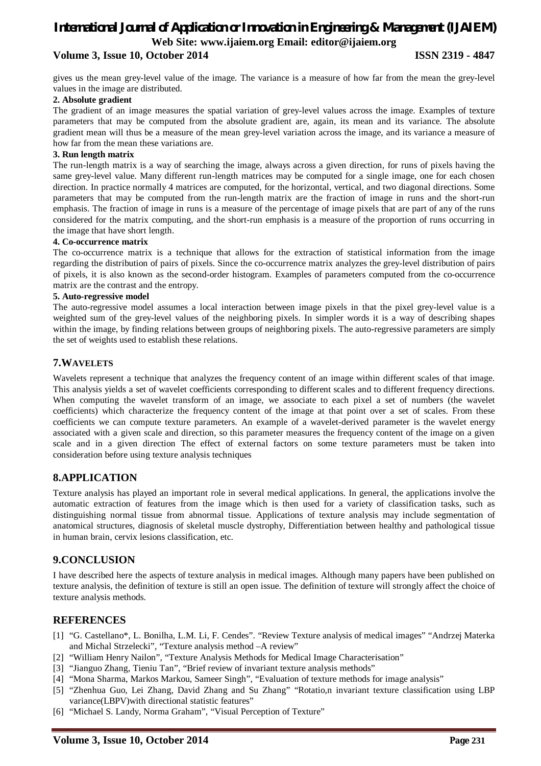# *International Journal of Application or Innovation in Engineering & Management (IJAIEM)* **Web Site: www.ijaiem.org Email: editor@ijaiem.org**

# **Volume 3, Issue 10, October 2014 ISSN 2319 - 4847**

gives us the mean grey-level value of the image. The variance is a measure of how far from the mean the grey-level values in the image are distributed.

#### **2. Absolute gradient**

The gradient of an image measures the spatial variation of grey-level values across the image. Examples of texture parameters that may be computed from the absolute gradient are, again, its mean and its variance. The absolute gradient mean will thus be a measure of the mean grey-level variation across the image, and its variance a measure of how far from the mean these variations are.

#### **3. Run length matrix**

The run-length matrix is a way of searching the image, always across a given direction, for runs of pixels having the same grey-level value. Many different run-length matrices may be computed for a single image, one for each chosen direction. In practice normally 4 matrices are computed, for the horizontal, vertical, and two diagonal directions. Some parameters that may be computed from the run-length matrix are the fraction of image in runs and the short-run emphasis. The fraction of image in runs is a measure of the percentage of image pixels that are part of any of the runs considered for the matrix computing, and the short-run emphasis is a measure of the proportion of runs occurring in the image that have short length.

#### **4. Co-occurrence matrix**

The co-occurrence matrix is a technique that allows for the extraction of statistical information from the image regarding the distribution of pairs of pixels. Since the co-occurrence matrix analyzes the grey-level distribution of pairs of pixels, it is also known as the second-order histogram. Examples of parameters computed from the co-occurrence matrix are the contrast and the entropy.

#### **5. Auto-regressive model**

The auto-regressive model assumes a local interaction between image pixels in that the pixel grey-level value is a weighted sum of the grey-level values of the neighboring pixels. In simpler words it is a way of describing shapes within the image, by finding relations between groups of neighboring pixels. The auto-regressive parameters are simply the set of weights used to establish these relations.

### **7.WAVELETS**

Wavelets represent a technique that analyzes the frequency content of an image within different scales of that image. This analysis yields a set of wavelet coefficients corresponding to different scales and to different frequency directions. When computing the wavelet transform of an image, we associate to each pixel a set of numbers (the wavelet coefficients) which characterize the frequency content of the image at that point over a set of scales. From these coefficients we can compute texture parameters. An example of a wavelet-derived parameter is the wavelet energy associated with a given scale and direction, so this parameter measures the frequency content of the image on a given scale and in a given direction The effect of external factors on some texture parameters must be taken into consideration before using texture analysis techniques

# **8.APPLICATION**

Texture analysis has played an important role in several medical applications. In general, the applications involve the automatic extraction of features from the image which is then used for a variety of classification tasks, such as distinguishing normal tissue from abnormal tissue. Applications of texture analysis may include segmentation of anatomical structures, diagnosis of skeletal muscle dystrophy, Differentiation between healthy and pathological tissue in human brain, cervix lesions classification, etc.

# **9.CONCLUSION**

I have described here the aspects of texture analysis in medical images. Although many papers have been published on texture analysis, the definition of texture is still an open issue. The definition of texture will strongly affect the choice of texture analysis methods.

#### **REFERENCES**

- [1] "G. Castellano\*, L. Bonilha, L.M. Li, F. Cendes". "Review Texture analysis of medical images" "Andrzej Materka and Michal Strzelecki", "Texture analysis method –A review"
- [2] "William Henry Nailon", "Texture Analysis Methods for Medical Image Characterisation"
- [3] "Jianguo Zhang, Tieniu Tan", "Brief review of invariant texture analysis methods"
- [4] "Mona Sharma, Markos Markou, Sameer Singh", "Evaluation of texture methods for image analysis"
- [5] "Zhenhua Guo, Lei Zhang, David Zhang and Su Zhang" "Rotatio,n invariant texture classification using LBP variance(LBPV)with directional statistic features"
- [6] "Michael S. Landy, Norma Graham", "Visual Perception of Texture"